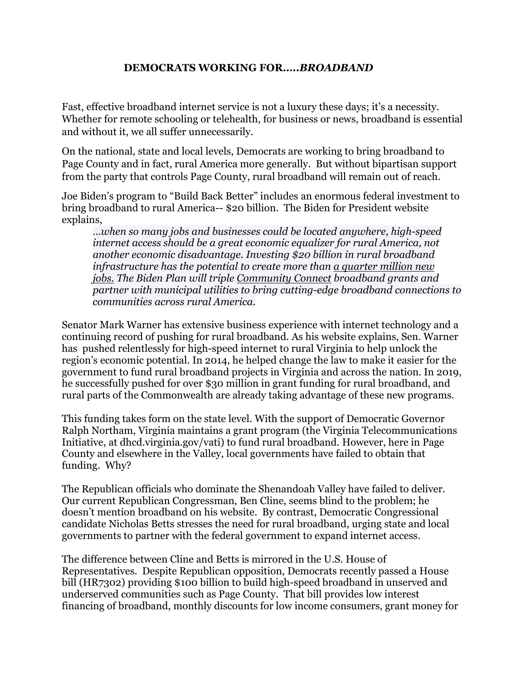## **DEMOCRATS WORKING FOR…..***BROADBAND*

Fast, effective broadband internet service is not a luxury these days; it's a necessity. Whether for remote schooling or telehealth, for business or news, broadband is essential and without it, we all suffer unnecessarily.

On the national, state and local levels, Democrats are working to bring broadband to Page County and in fact, rural America more generally. But without bipartisan support from the party that controls Page County, rural broadband will remain out of reach.

Joe Biden's program to "Build Back Better" includes an enormous federal investment to bring broadband to rural America-- \$20 billion. The Biden for President website explains,

*…when so many jobs and businesses could be located anywhere, high-speed internet access should be a great economic equalizer for rural America, not another economic disadvantage. Investing \$20 billion in rural broadband infrastructure has the potential to create more than a [quarter](https://www.democrats.senate.gov/files/documents/ABlueprinttoRebuildAmericasInfrastructure.pdf) million new [jobs.](https://www.democrats.senate.gov/files/documents/ABlueprinttoRebuildAmericasInfrastructure.pdf) The Biden Plan will triple [Community](https://www.rd.usda.gov/programs-services/community-connect-grants) Connect broadband grants and partner with municipal utilities to bring cutting-edge broadband connections to communities across rural America.*

Senator Mark Warner has extensive business experience with internet technology and a continuing record of pushing for rural broadband. As his website explains, Sen. Warner has pushed relentlessly for high-speed internet to rural Virginia to help unlock the region's economic potential. In 2014, he helped change the law to make it easier for the government to fund rural broadband projects in Virginia and across the nation. In 2019, he successfully pushed for over \$30 million in grant funding for rural broadband, and rural parts of the Commonwealth are already taking advantage of these new programs.

This funding takes form on the state level. With the support of Democratic Governor Ralph Northam, Virginia maintains a grant program (the Virginia Telecommunications Initiative, at dhcd.virginia.gov/vati) to fund rural broadband. However, here in Page County and elsewhere in the Valley, local governments have failed to obtain that funding. Why?

The Republican officials who dominate the Shenandoah Valley have failed to deliver. Our current Republican Congressman, Ben Cline, seems blind to the problem; he doesn't mention broadband on his website. By contrast, Democratic Congressional candidate Nicholas Betts stresses the need for rural broadband, urging state and local governments to partner with the federal government to expand internet access.

The difference between Cline and Betts is mirrored in the U.S. House of Representatives. Despite Republican opposition, Democrats recently passed a House bill (HR7302) providing \$100 billion to build high-speed broadband in unserved and underserved communities such as Page County. That bill provides low interest financing of broadband, monthly discounts for low income consumers, grant money for